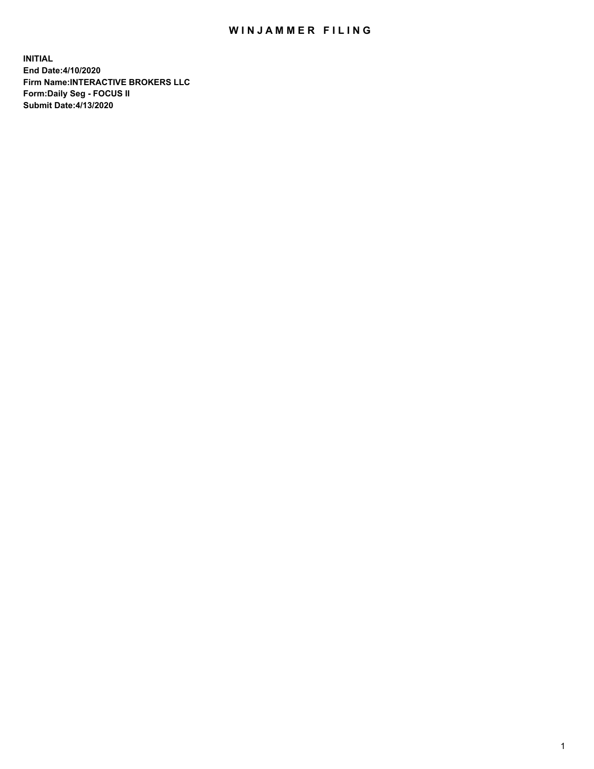## WIN JAMMER FILING

**INITIAL End Date:4/10/2020 Firm Name:INTERACTIVE BROKERS LLC Form:Daily Seg - FOCUS II Submit Date:4/13/2020**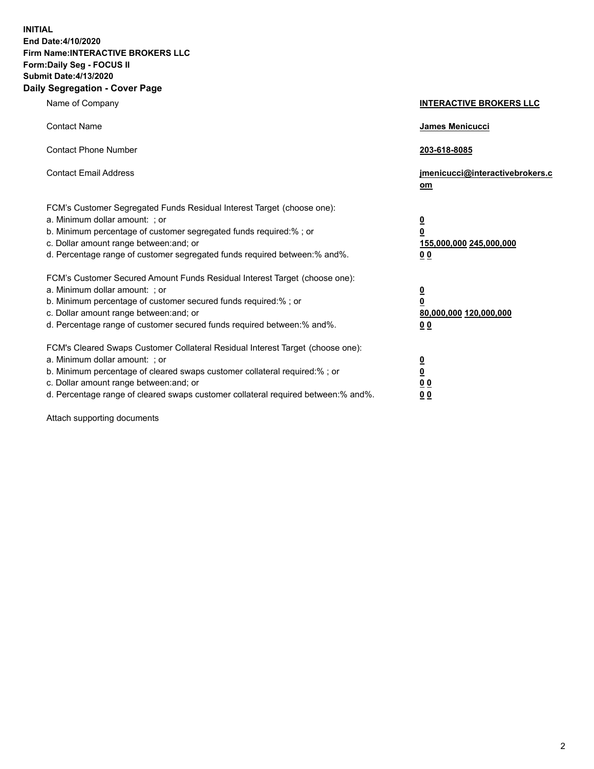**INITIAL End Date:4/10/2020 Firm Name:INTERACTIVE BROKERS LLC Form:Daily Seg - FOCUS II Submit Date:4/13/2020 Daily Segregation - Cover Page**

| Name of Company                                                                                                                                                                                                                                                                                                                | <b>INTERACTIVE BROKERS LLC</b>                                                                  |  |
|--------------------------------------------------------------------------------------------------------------------------------------------------------------------------------------------------------------------------------------------------------------------------------------------------------------------------------|-------------------------------------------------------------------------------------------------|--|
| <b>Contact Name</b>                                                                                                                                                                                                                                                                                                            | <b>James Menicucci</b>                                                                          |  |
| <b>Contact Phone Number</b>                                                                                                                                                                                                                                                                                                    | 203-618-8085                                                                                    |  |
| <b>Contact Email Address</b>                                                                                                                                                                                                                                                                                                   | jmenicucci@interactivebrokers.c<br>om                                                           |  |
| FCM's Customer Segregated Funds Residual Interest Target (choose one):<br>a. Minimum dollar amount: ; or<br>b. Minimum percentage of customer segregated funds required:%; or<br>c. Dollar amount range between: and; or<br>d. Percentage range of customer segregated funds required between:% and%.                          | $\overline{\mathbf{0}}$<br>$\overline{\mathbf{0}}$<br>155,000,000 245,000,000<br>0 <sub>0</sub> |  |
| FCM's Customer Secured Amount Funds Residual Interest Target (choose one):<br>a. Minimum dollar amount: ; or<br>b. Minimum percentage of customer secured funds required:%; or<br>c. Dollar amount range between: and; or<br>d. Percentage range of customer secured funds required between:% and%.                            | <u>0</u><br>$\overline{\mathbf{0}}$<br>80,000,000 120,000,000<br>0 <sub>0</sub>                 |  |
| FCM's Cleared Swaps Customer Collateral Residual Interest Target (choose one):<br>a. Minimum dollar amount: ; or<br>b. Minimum percentage of cleared swaps customer collateral required:% ; or<br>c. Dollar amount range between: and; or<br>d. Percentage range of cleared swaps customer collateral required between:% and%. | $\overline{\mathbf{0}}$<br>$\underline{\mathbf{0}}$<br>0 <sub>0</sub><br>00                     |  |

Attach supporting documents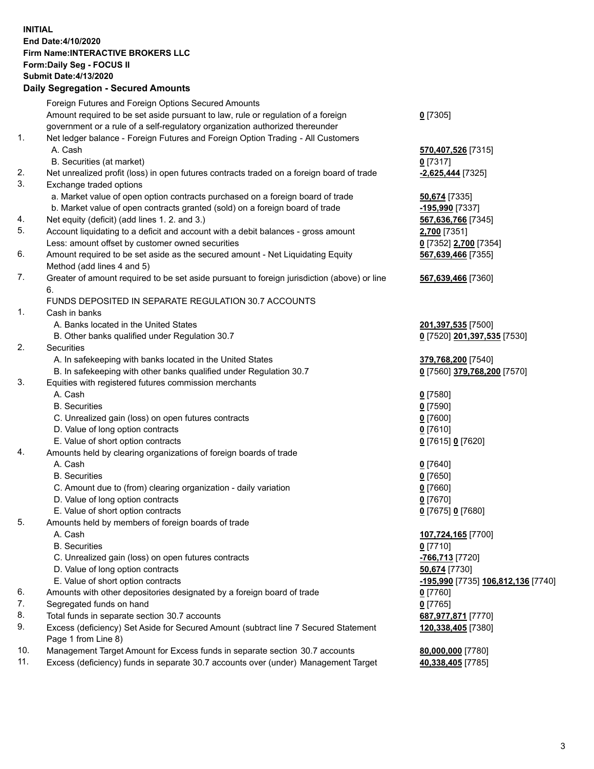**INITIAL End Date:4/10/2020 Firm Name:INTERACTIVE BROKERS LLC Form:Daily Seg - FOCUS II Submit Date:4/13/2020 Daily Segregation - Secured Amounts**

## Foreign Futures and Foreign Options Secured Amounts Amount required to be set aside pursuant to law, rule or regulation of a foreign government or a rule of a self-regulatory organization authorized thereunder **0** [7305] 1. Net ledger balance - Foreign Futures and Foreign Option Trading - All Customers A. Cash **570,407,526** [7315] B. Securities (at market) **0** [7317] 2. Net unrealized profit (loss) in open futures contracts traded on a foreign board of trade **-2,625,444** [7325] 3. Exchange traded options a. Market value of open option contracts purchased on a foreign board of trade **50,674** [7335] b. Market value of open contracts granted (sold) on a foreign board of trade **-195,990** [7337] 4. Net equity (deficit) (add lines 1. 2. and 3.) **567,636,766** [7345] 5. Account liquidating to a deficit and account with a debit balances - gross amount **2,700** [7351] Less: amount offset by customer owned securities **0** [7352] **2,700** [7354] 6. Amount required to be set aside as the secured amount - Net Liquidating Equity Method (add lines 4 and 5) **567,639,466** [7355] 7. Greater of amount required to be set aside pursuant to foreign jurisdiction (above) or line 6. **567,639,466** [7360] FUNDS DEPOSITED IN SEPARATE REGULATION 30.7 ACCOUNTS 1. Cash in banks A. Banks located in the United States **201,397,535** [7500] B. Other banks qualified under Regulation 30.7 **0** [7520] **201,397,535** [7530] 2. Securities A. In safekeeping with banks located in the United States **379,768,200** [7540] B. In safekeeping with other banks qualified under Regulation 30.7 **0** [7560] **379,768,200** [7570] 3. Equities with registered futures commission merchants A. Cash **0** [7580] B. Securities **0** [7590] C. Unrealized gain (loss) on open futures contracts **0** [7600] D. Value of long option contracts **0** [7610] E. Value of short option contracts **0** [7615] **0** [7620] 4. Amounts held by clearing organizations of foreign boards of trade A. Cash **0** [7640] B. Securities **0** [7650] C. Amount due to (from) clearing organization - daily variation **0** [7660] D. Value of long option contracts **0** [7670] E. Value of short option contracts **0** [7675] **0** [7680] 5. Amounts held by members of foreign boards of trade A. Cash **107,724,165** [7700] B. Securities **0** [7710] C. Unrealized gain (loss) on open futures contracts **-766,713** [7720] D. Value of long option contracts **50,674** [7730] E. Value of short option contracts **-195,990** [7735] **106,812,136** [7740] 6. Amounts with other depositories designated by a foreign board of trade **0** [7760] 7. Segregated funds on hand **0** [7765] 8. Total funds in separate section 30.7 accounts **687,977,871** [7770] 9. Excess (deficiency) Set Aside for Secured Amount (subtract line 7 Secured Statement Page 1 from Line 8) **120,338,405** [7380] 10. Management Target Amount for Excess funds in separate section 30.7 accounts **80,000,000** [7780] 11. Excess (deficiency) funds in separate 30.7 accounts over (under) Management Target **40,338,405** [7785]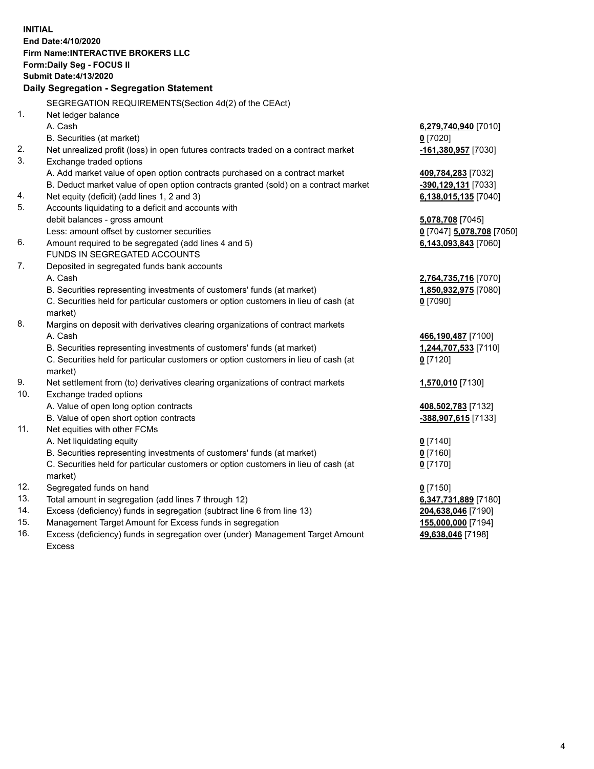**INITIAL End Date:4/10/2020 Firm Name:INTERACTIVE BROKERS LLC Form:Daily Seg - FOCUS II Submit Date:4/13/2020 Daily Segregation - Segregation Statement** SEGREGATION REQUIREMENTS(Section 4d(2) of the CEAct) 1. Net ledger balance A. Cash **6,279,740,940** [7010] B. Securities (at market) **0** [7020] 2. Net unrealized profit (loss) in open futures contracts traded on a contract market **-161,380,957** [7030] 3. Exchange traded options A. Add market value of open option contracts purchased on a contract market **409,784,283** [7032] B. Deduct market value of open option contracts granted (sold) on a contract market **-390,129,131** [7033] 4. Net equity (deficit) (add lines 1, 2 and 3) **6,138,015,135** [7040] 5. Accounts liquidating to a deficit and accounts with debit balances - gross amount **5,078,708** [7045] Less: amount offset by customer securities **0** [7047] **5,078,708** [7050] 6. Amount required to be segregated (add lines 4 and 5) **6,143,093,843** [7060] FUNDS IN SEGREGATED ACCOUNTS 7. Deposited in segregated funds bank accounts A. Cash **2,764,735,716** [7070] B. Securities representing investments of customers' funds (at market) **1,850,932,975** [7080] C. Securities held for particular customers or option customers in lieu of cash (at market) **0** [7090] 8. Margins on deposit with derivatives clearing organizations of contract markets A. Cash **466,190,487** [7100] B. Securities representing investments of customers' funds (at market) **1,244,707,533** [7110] C. Securities held for particular customers or option customers in lieu of cash (at market) **0** [7120] 9. Net settlement from (to) derivatives clearing organizations of contract markets **1,570,010** [7130] 10. Exchange traded options A. Value of open long option contracts **408,502,783** [7132] B. Value of open short option contracts **-388,907,615** [7133] 11. Net equities with other FCMs A. Net liquidating equity **0** [7140] B. Securities representing investments of customers' funds (at market) **0** [7160] C. Securities held for particular customers or option customers in lieu of cash (at market) **0** [7170] 12. Segregated funds on hand **0** [7150] 13. Total amount in segregation (add lines 7 through 12) **6,347,731,889** [7180] 14. Excess (deficiency) funds in segregation (subtract line 6 from line 13) **204,638,046** [7190] 15. Management Target Amount for Excess funds in segregation **155,000,000** [7194]

16. Excess (deficiency) funds in segregation over (under) Management Target Amount Excess

**49,638,046** [7198]